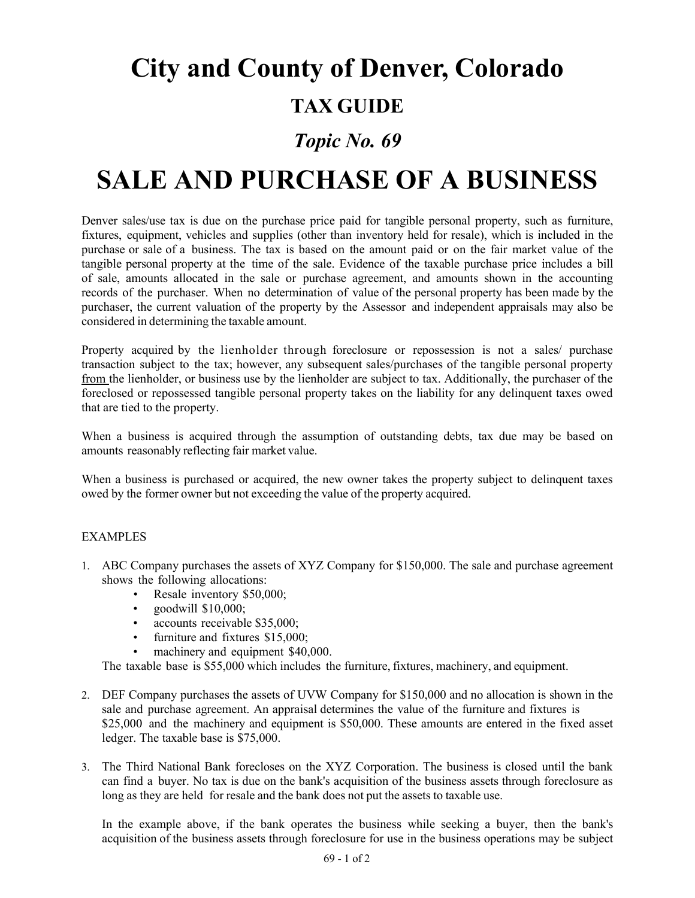# **City and County of Denver, Colorado**

### **TAX GUIDE**

#### *Topic No. 69*

## **SALE AND PURCHASE OF A BUSINESS**

Denver sales/use tax is due on the purchase price paid for tangible personal property, such as furniture, fixtures, equipment, vehicles and supplies (other than inventory held for resale), which is included in the purchase or sale of a business. The tax is based on the amount paid or on the fair market value of the tangible personal property at the time of the sale. Evidence of the taxable purchase price includes a bill of sale, amounts allocated in the sale or purchase agreement, and amounts shown in the accounting records of the purchaser. When no determination of value of the personal property has been made by the purchaser, the current valuation of the property by the Assessor and independent appraisals may also be considered in determining the taxable amount.

Property acquired by the lienholder through foreclosure or repossession is not a sales/ purchase transaction subject to the tax; however, any subsequent sales/purchases of the tangible personal property from the lienholder, or business use by the lienholder are subject to tax. Additionally, the purchaser of the foreclosed or repossessed tangible personal property takes on the liability for any delinquent taxes owed that are tied to the property.

When a business is acquired through the assumption of outstanding debts, tax due may be based on amounts reasonably reflecting fair market value.

When a business is purchased or acquired, the new owner takes the property subject to delinquent taxes owed by the former owner but not exceeding the value of the property acquired.

#### EXAMPLES

- 1. ABC Company purchases the assets of XYZ Company for \$150,000. The sale and purchase agreement shows the following allocations:
	- Resale inventory \$50,000;
	- goodwill \$10,000;
	- accounts receivable \$35,000;
	- furniture and fixtures \$15,000;
	- machinery and equipment \$40,000.

The taxable base is \$55,000 which includes the furniture, fixtures, machinery, and equipment.

- 2. DEF Company purchases the assets of UVW Company for \$150,000 and no allocation is shown in the sale and purchase agreement. An appraisal determines the value of the furniture and fixtures is \$25,000 and the machinery and equipment is \$50,000. These amounts are entered in the fixed asset ledger. The taxable base is \$75,000.
- 3. The Third National Bank forecloses on the XYZ Corporation. The business is closed until the bank can find a buyer. No tax is due on the bank's acquisition of the business assets through foreclosure as long as they are held for resale and the bank does not put the assets to taxable use.

In the example above, if the bank operates the business while seeking a buyer, then the bank's acquisition of the business assets through foreclosure for use in the business operations may be subject